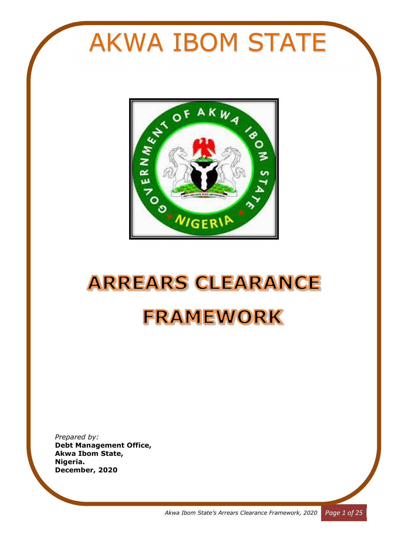# **AKWA IBOM STATE**



# **ARREARS CLEARANCE FRAMEWORK**

*Prepared by:*  **Debt Management Office, Akwa Ibom State, Nigeria. December, 2020**

*Akwa Ibom State's Arrears Clearance Framework, 2020 Page 1 of 25*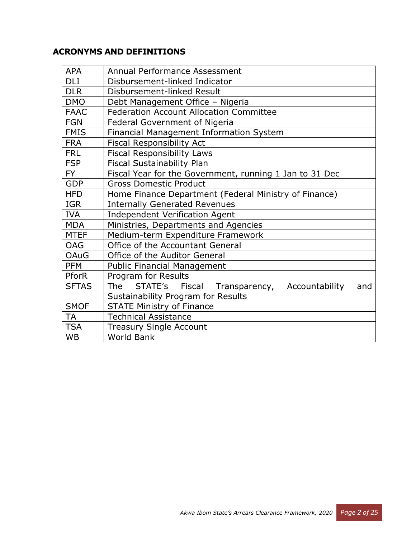# **ACRONYMS AND DEFINITIONS**

| <b>APA</b>   | Annual Performance Assessment                             |  |  |  |  |
|--------------|-----------------------------------------------------------|--|--|--|--|
| <b>DLI</b>   | Disbursement-linked Indicator                             |  |  |  |  |
| <b>DLR</b>   | Disbursement-linked Result                                |  |  |  |  |
| <b>DMO</b>   | Debt Management Office - Nigeria                          |  |  |  |  |
| <b>FAAC</b>  | <b>Federation Account Allocation Committee</b>            |  |  |  |  |
| <b>FGN</b>   | <b>Federal Government of Nigeria</b>                      |  |  |  |  |
| <b>FMIS</b>  | Financial Management Information System                   |  |  |  |  |
| <b>FRA</b>   | <b>Fiscal Responsibility Act</b>                          |  |  |  |  |
| <b>FRL</b>   | <b>Fiscal Responsibility Laws</b>                         |  |  |  |  |
| <b>FSP</b>   | <b>Fiscal Sustainability Plan</b>                         |  |  |  |  |
| <b>FY</b>    | Fiscal Year for the Government, running 1 Jan to 31 Dec   |  |  |  |  |
| <b>GDP</b>   | <b>Gross Domestic Product</b>                             |  |  |  |  |
| <b>HFD</b>   | Home Finance Department (Federal Ministry of Finance)     |  |  |  |  |
| <b>IGR</b>   | <b>Internally Generated Revenues</b>                      |  |  |  |  |
| <b>IVA</b>   | <b>Independent Verification Agent</b>                     |  |  |  |  |
| <b>MDA</b>   | Ministries, Departments and Agencies                      |  |  |  |  |
| <b>MTEF</b>  | Medium-term Expenditure Framework                         |  |  |  |  |
| <b>OAG</b>   | Office of the Accountant General                          |  |  |  |  |
| <b>OAuG</b>  | Office of the Auditor General                             |  |  |  |  |
| <b>PFM</b>   | Public Financial Management                               |  |  |  |  |
| <b>PforR</b> | Program for Results                                       |  |  |  |  |
| <b>SFTAS</b> | The STATE's Fiscal Transparency,<br>Accountability<br>and |  |  |  |  |
|              | Sustainability Program for Results                        |  |  |  |  |
| <b>SMOF</b>  | <b>STATE Ministry of Finance</b>                          |  |  |  |  |
| <b>TA</b>    | <b>Technical Assistance</b>                               |  |  |  |  |
| <b>TSA</b>   | <b>Treasury Single Account</b>                            |  |  |  |  |
| <b>WB</b>    | <b>World Bank</b>                                         |  |  |  |  |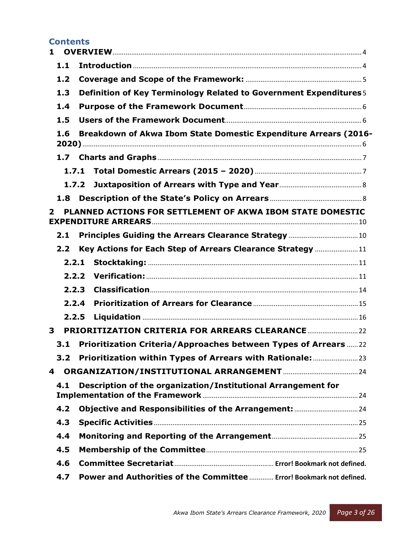# **Contents**

| 1                |                                                                      |  |
|------------------|----------------------------------------------------------------------|--|
| 1.1              |                                                                      |  |
| 1.2              |                                                                      |  |
| 1.3              | Definition of Key Terminology Related to Government Expenditures 5   |  |
| 1.4              |                                                                      |  |
| 1.5              |                                                                      |  |
| 1.6              | Breakdown of Akwa Ibom State Domestic Expenditure Arrears (2016-     |  |
|                  |                                                                      |  |
|                  | 1.7.1                                                                |  |
|                  | 1.7.2                                                                |  |
| 1.8              |                                                                      |  |
| $\mathbf{2}$     | PLANNED ACTIONS FOR SETTLEMENT OF AKWA IBOM STATE DOMESTIC           |  |
| 2.1              |                                                                      |  |
| 2.2 <sub>2</sub> | Key Actions for Each Step of Arrears Clearance Strategy 11           |  |
|                  |                                                                      |  |
| 2.2.2            |                                                                      |  |
| 2.2.3            |                                                                      |  |
|                  | 2.2.4                                                                |  |
| 2.2.5            |                                                                      |  |
| 3                |                                                                      |  |
| 3.1              | Prioritization Criteria/Approaches between Types of Arrears  22      |  |
| 3.2              | Prioritization within Types of Arrears with Rationale:               |  |
| 4                |                                                                      |  |
| 4.1              | Description of the organization/Institutional Arrangement for        |  |
| 4.2              |                                                                      |  |
| 4.3              |                                                                      |  |
| 4.4              |                                                                      |  |
| 4.5              |                                                                      |  |
| 4.6              |                                                                      |  |
| 4.7              | Power and Authorities of the Committee  Error! Bookmark not defined. |  |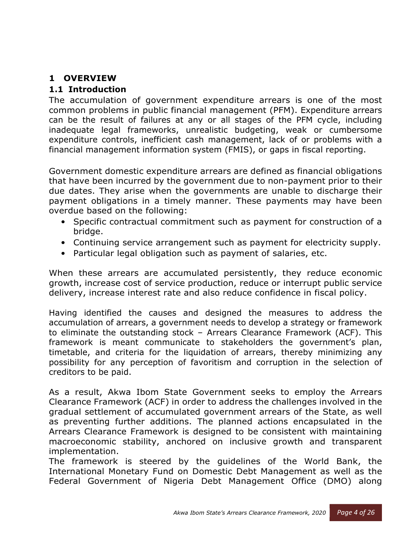# **1 OVERVIEW**

# **1.1 Introduction**

The accumulation of government expenditure arrears is one of the most common problems in public financial management (PFM). Expenditure arrears can be the result of failures at any or all stages of the PFM cycle, including inadequate legal frameworks, unrealistic budgeting, weak or cumbersome expenditure controls, inefficient cash management, lack of or problems with a financial management information system (FMIS), or gaps in fiscal reporting.

Government domestic expenditure arrears are defined as financial obligations that have been incurred by the government due to non-payment prior to their due dates. They arise when the governments are unable to discharge their payment obligations in a timely manner. These payments may have been overdue based on the following:

- Specific contractual commitment such as payment for construction of a bridge.
- Continuing service arrangement such as payment for electricity supply.
- Particular legal obligation such as payment of salaries, etc.

When these arrears are accumulated persistently, they reduce economic growth, increase cost of service production, reduce or interrupt public service delivery, increase interest rate and also reduce confidence in fiscal policy.

Having identified the causes and designed the measures to address the accumulation of arrears, a government needs to develop a strategy or framework to eliminate the outstanding stock – Arrears Clearance Framework (ACF). This framework is meant communicate to stakeholders the government's plan, timetable, and criteria for the liquidation of arrears, thereby minimizing any possibility for any perception of favoritism and corruption in the selection of creditors to be paid.

As a result, Akwa Ibom State Government seeks to employ the Arrears Clearance Framework (ACF) in order to address the challenges involved in the gradual settlement of accumulated government arrears of the State, as well as preventing further additions. The planned actions encapsulated in the Arrears Clearance Framework is designed to be consistent with maintaining macroeconomic stability, anchored on inclusive growth and transparent implementation.

The framework is steered by the guidelines of the World Bank, the International Monetary Fund on Domestic Debt Management as well as the Federal Government of Nigeria Debt Management Office (DMO) along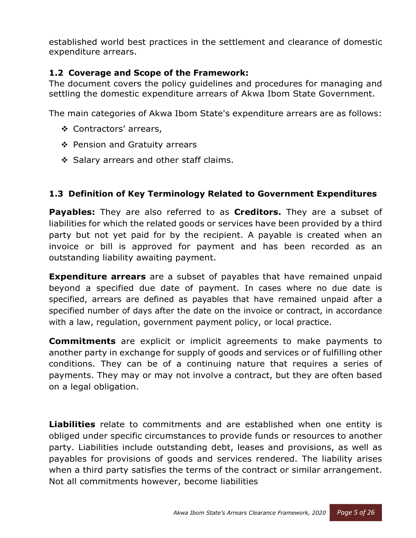established world best practices in the settlement and clearance of domestic expenditure arrears.

# **1.2 Coverage and Scope of the Framework:**

The document covers the policy guidelines and procedures for managing and settling the domestic expenditure arrears of Akwa Ibom State Government.

The main categories of Akwa Ibom State's expenditure arrears are as follows:

- Contractors' arrears,
- ❖ Pension and Gratuity arrears
- Salary arrears and other staff claims.

# **1.3 Definition of Key Terminology Related to Government Expenditures**

**Payables:** They are also referred to as **Creditors.** They are a subset of liabilities for which the related goods or services have been provided by a third party but not yet paid for by the recipient. A payable is created when an invoice or bill is approved for payment and has been recorded as an outstanding liability awaiting payment.

**Expenditure arrears** are a subset of payables that have remained unpaid beyond a specified due date of payment. In cases where no due date is specified, arrears are defined as payables that have remained unpaid after a specified number of days after the date on the invoice or contract, in accordance with a law, regulation, government payment policy, or local practice.

**Commitments** are explicit or implicit agreements to make payments to another party in exchange for supply of goods and services or of fulfilling other conditions. They can be of a continuing nature that requires a series of payments. They may or may not involve a contract, but they are often based on a legal obligation.

**Liabilities** relate to commitments and are established when one entity is obliged under specific circumstances to provide funds or resources to another party. Liabilities include outstanding debt, leases and provisions, as well as payables for provisions of goods and services rendered. The liability arises when a third party satisfies the terms of the contract or similar arrangement. Not all commitments however, become liabilities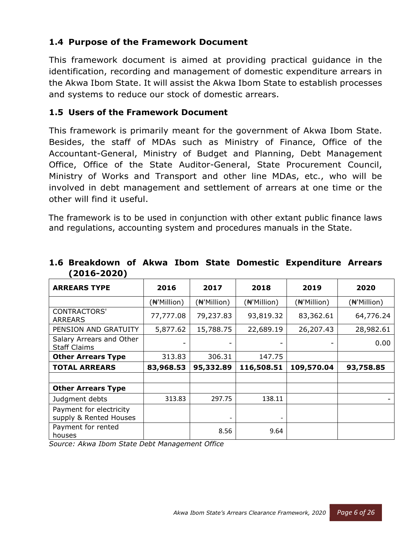# **1.4 Purpose of the Framework Document**

This framework document is aimed at providing practical guidance in the identification, recording and management of domestic expenditure arrears in the Akwa Ibom State. It will assist the Akwa Ibom State to establish processes and systems to reduce our stock of domestic arrears.

#### **1.5 Users of the Framework Document**

This framework is primarily meant for the government of Akwa Ibom State. Besides, the staff of MDAs such as Ministry of Finance, Office of the Accountant-General, Ministry of Budget and Planning, Debt Management Office, Office of the State Auditor-General, State Procurement Council, Ministry of Works and Transport and other line MDAs, etc., who will be involved in debt management and settlement of arrears at one time or the other will find it useful.

The framework is to be used in conjunction with other extant public finance laws and regulations, accounting system and procedures manuals in the State.

| <b>ARREARS TYPE</b>                               | 2016                     | 2017        | 2018                     | 2019        | 2020        |
|---------------------------------------------------|--------------------------|-------------|--------------------------|-------------|-------------|
|                                                   | ( <del>N</del> 'Million) | (#'Million) | ( <del>N</del> 'Million) | (#'Million) | (₦'Million) |
| <b>CONTRACTORS'</b><br><b>ARREARS</b>             | 77,777.08                | 79,237.83   | 93,819.32                | 83,362.61   | 64,776.24   |
| PENSION AND GRATUITY                              | 5,877.62                 | 15,788.75   | 22,689.19                | 26,207.43   | 28,982.61   |
| Salary Arrears and Other<br><b>Staff Claims</b>   |                          |             |                          |             | 0.00        |
| <b>Other Arrears Type</b>                         | 313.83                   | 306.31      | 147.75                   |             |             |
| <b>TOTAL ARREARS</b>                              | 83,968.53                | 95,332.89   | 116,508.51               | 109,570.04  | 93,758.85   |
|                                                   |                          |             |                          |             |             |
| <b>Other Arrears Type</b>                         |                          |             |                          |             |             |
| Judgment debts                                    | 313.83                   | 297.75      | 138.11                   |             |             |
| Payment for electricity<br>supply & Rented Houses |                          |             | $\overline{\phantom{a}}$ |             |             |
| Payment for rented<br>houses                      |                          | 8.56        | 9.64                     |             |             |

#### **1.6 Breakdown of Akwa Ibom State Domestic Expenditure Arrears (2016-2020)**

*Source: Akwa Ibom State Debt Management Office*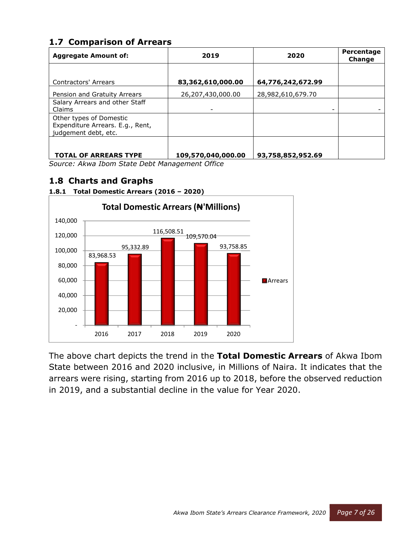# **1.7 Comparison of Arrears**

| <b>Aggregate Amount of:</b>                                                         | 2019               | 2020              | Percentage<br>Change |  |
|-------------------------------------------------------------------------------------|--------------------|-------------------|----------------------|--|
| Contractors' Arrears                                                                | 83,362,610,000.00  | 64,776,242,672.99 |                      |  |
| Pension and Gratuity Arrears<br>Salary Arrears and other Staff<br>Claims            | 26,207,430,000.00  | 28,982,610,679.70 |                      |  |
| Other types of Domestic<br>Expenditure Arrears. E.g., Rent,<br>judgement debt, etc. |                    |                   |                      |  |
| <b>TOTAL OF ARREARS TYPE</b>                                                        | 109,570,040,000.00 | 93,758,852,952.69 |                      |  |

*Source: Akwa Ibom State Debt Management Office* 

# **1.8 Charts and Graphs**



#### **1.8.1 Total Domestic Arrears (2016 – 2020)**

The above chart depicts the trend in the **Total Domestic Arrears** of Akwa Ibom State between 2016 and 2020 inclusive, in Millions of Naira. It indicates that the arrears were rising, starting from 2016 up to 2018, before the observed reduction in 2019, and a substantial decline in the value for Year 2020.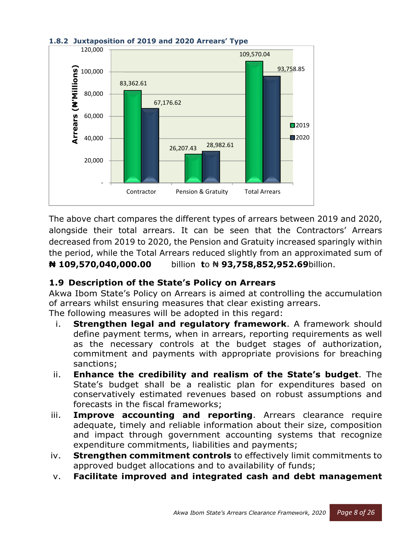

#### **1.8.2 Juxtaposition of 2019 and 2020 Arrears' Type**

The above chart compares the different types of arrears between 2019 and 2020, alongside their total arrears. It can be seen that the Contractors' Arrears decreased from 2019 to 2020, the Pension and Gratuity increased sparingly within the period, while the Total Arrears reduced slightly from an approximated sum of **₦ 109,570,040,000.00** billion **t**o ₦ **93,758,852,952.69**billion.

# **1.9 Description of the State's Policy on Arrears**

Akwa Ibom State's Policy on Arrears is aimed at controlling the accumulation of arrears whilst ensuring measures that clear existing arrears. The following measures will be adopted in this regard:

- i. **Strengthen legal and regulatory framework**. A framework should define payment terms, when in arrears, reporting requirements as well as the necessary controls at the budget stages of authorization, commitment and payments with appropriate provisions for breaching sanctions;
- ii. **Enhance the credibility and realism of the State's budget**. The State's budget shall be a realistic plan for expenditures based on conservatively estimated revenues based on robust assumptions and forecasts in the fiscal frameworks;
- iii. **Improve accounting and reporting**. Arrears clearance require adequate, timely and reliable information about their size, composition and impact through government accounting systems that recognize expenditure commitments, liabilities and payments;
- iv. **Strengthen commitment controls** to effectively limit commitments to approved budget allocations and to availability of funds;
- v. **Facilitate improved and integrated cash and debt management**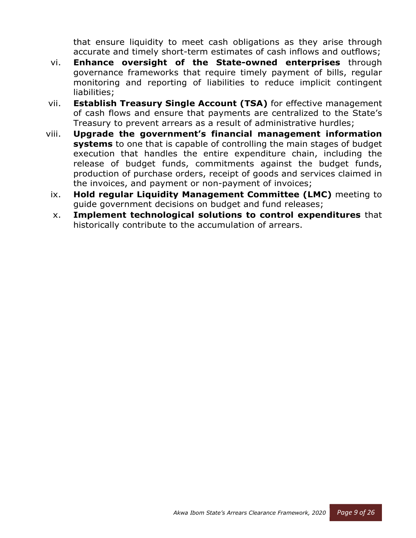that ensure liquidity to meet cash obligations as they arise through accurate and timely short-term estimates of cash inflows and outflows;

- vi. **Enhance oversight of the State-owned enterprises** through governance frameworks that require timely payment of bills, regular monitoring and reporting of liabilities to reduce implicit contingent liabilities;
- vii. **Establish Treasury Single Account (TSA)** for effective management of cash flows and ensure that payments are centralized to the State's Treasury to prevent arrears as a result of administrative hurdles;
- viii. **Upgrade the government's financial management information systems** to one that is capable of controlling the main stages of budget execution that handles the entire expenditure chain, including the release of budget funds, commitments against the budget funds, production of purchase orders, receipt of goods and services claimed in the invoices, and payment or non-payment of invoices;
- ix. **Hold regular Liquidity Management Committee (LMC)** meeting to guide government decisions on budget and fund releases;
- x. **Implement technological solutions to control expenditures** that historically contribute to the accumulation of arrears.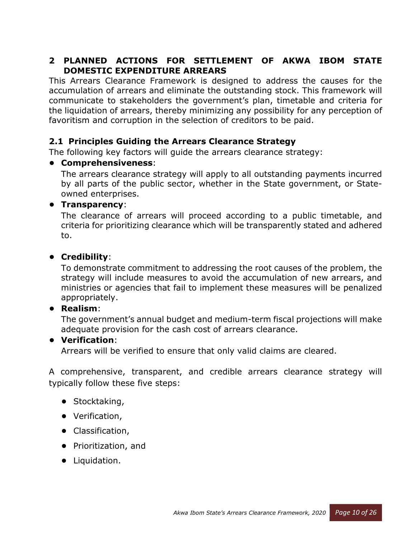# **2 PLANNED ACTIONS FOR SETTLEMENT OF AKWA IBOM STATE DOMESTIC EXPENDITURE ARREARS**

This Arrears Clearance Framework is designed to address the causes for the accumulation of arrears and eliminate the outstanding stock. This framework will communicate to stakeholders the government's plan, timetable and criteria for the liquidation of arrears, thereby minimizing any possibility for any perception of favoritism and corruption in the selection of creditors to be paid.

# **2.1 Principles Guiding the Arrears Clearance Strategy**

The following key factors will guide the arrears clearance strategy:

#### **• Comprehensiveness**:

The arrears clearance strategy will apply to all outstanding payments incurred by all parts of the public sector, whether in the State government, or Stateowned enterprises.

#### **• Transparency**:

The clearance of arrears will proceed according to a public timetable, and criteria for prioritizing clearance which will be transparently stated and adhered to.

#### **• Credibility**:

To demonstrate commitment to addressing the root causes of the problem, the strategy will include measures to avoid the accumulation of new arrears, and ministries or agencies that fail to implement these measures will be penalized appropriately.

#### **• Realism**:

The government's annual budget and medium-term fiscal projections will make adequate provision for the cash cost of arrears clearance.

#### **• Verification**:

Arrears will be verified to ensure that only valid claims are cleared.

A comprehensive, transparent, and credible arrears clearance strategy will typically follow these five steps:

- **•** Stocktaking,
- **•** Verification,
- **•** Classification,
- **•** Prioritization, and
- **•** Liquidation.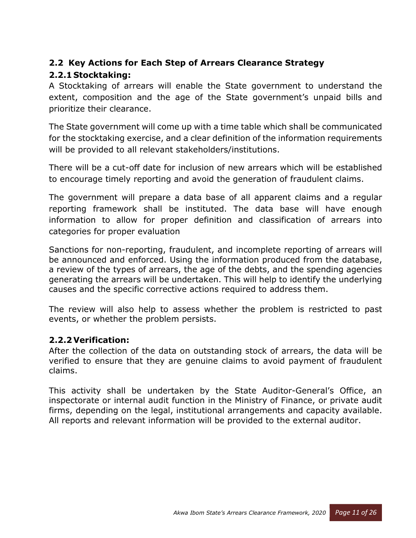# **2.2 Key Actions for Each Step of Arrears Clearance Strategy**

# **2.2.1 Stocktaking:**

A Stocktaking of arrears will enable the State government to understand the extent, composition and the age of the State government's unpaid bills and prioritize their clearance.

The State government will come up with a time table which shall be communicated for the stocktaking exercise, and a clear definition of the information requirements will be provided to all relevant stakeholders/institutions.

There will be a cut-off date for inclusion of new arrears which will be established to encourage timely reporting and avoid the generation of fraudulent claims.

The government will prepare a data base of all apparent claims and a regular reporting framework shall be instituted. The data base will have enough information to allow for proper definition and classification of arrears into categories for proper evaluation

Sanctions for non-reporting, fraudulent, and incomplete reporting of arrears will be announced and enforced. Using the information produced from the database, a review of the types of arrears, the age of the debts, and the spending agencies generating the arrears will be undertaken. This will help to identify the underlying causes and the specific corrective actions required to address them.

The review will also help to assess whether the problem is restricted to past events, or whether the problem persists.

# **2.2.2Verification:**

After the collection of the data on outstanding stock of arrears, the data will be verified to ensure that they are genuine claims to avoid payment of fraudulent claims.

This activity shall be undertaken by the State Auditor-General's Office, an inspectorate or internal audit function in the Ministry of Finance, or private audit firms, depending on the legal, institutional arrangements and capacity available. All reports and relevant information will be provided to the external auditor.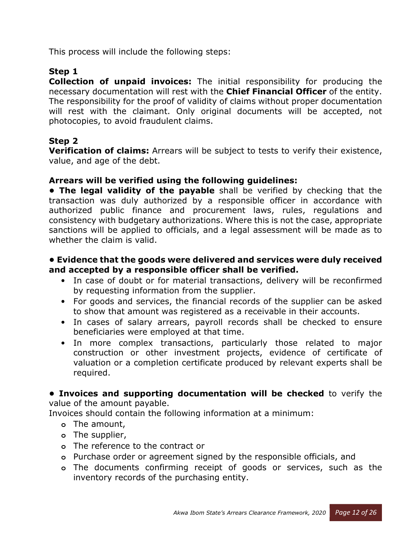This process will include the following steps:

# **Step 1**

**Collection of unpaid invoices:** The initial responsibility for producing the necessary documentation will rest with the **Chief Financial Officer** of the entity. The responsibility for the proof of validity of claims without proper documentation will rest with the claimant. Only original documents will be accepted, not photocopies, to avoid fraudulent claims.

#### **Step 2**

**Verification of claims:** Arrears will be subject to tests to verify their existence, value, and age of the debt.

#### **Arrears will be verified using the following guidelines:**

**• The legal validity of the payable** shall be verified by checking that the transaction was duly authorized by a responsible officer in accordance with authorized public finance and procurement laws, rules, regulations and consistency with budgetary authorizations. Where this is not the case, appropriate sanctions will be applied to officials, and a legal assessment will be made as to whether the claim is valid.

#### **• Evidence that the goods were delivered and services were duly received and accepted by a responsible officer shall be verified.**

- In case of doubt or for material transactions, delivery will be reconfirmed by requesting information from the supplier.
- For goods and services, the financial records of the supplier can be asked to show that amount was registered as a receivable in their accounts.
- In cases of salary arrears, payroll records shall be checked to ensure beneficiaries were employed at that time.
- In more complex transactions, particularly those related to major construction or other investment projects, evidence of certificate of valuation or a completion certificate produced by relevant experts shall be required.

**• Invoices and supporting documentation will be checked** to verify the value of the amount payable.

Invoices should contain the following information at a minimum:

- **o** The amount,
- **o** The supplier,
- **o** The reference to the contract or
- **o** Purchase order or agreement signed by the responsible officials, and
- **o** The documents confirming receipt of goods or services, such as the inventory records of the purchasing entity.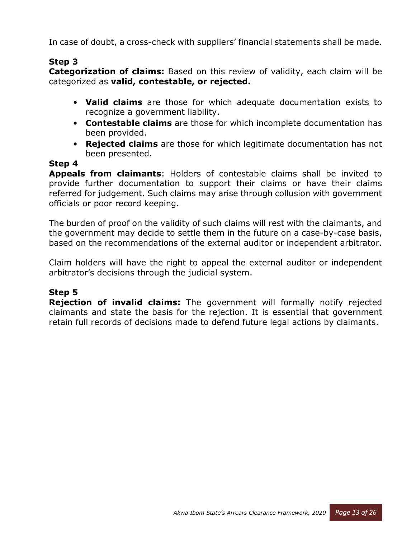In case of doubt, a cross-check with suppliers' financial statements shall be made.

### **Step 3**

**Categorization of claims:** Based on this review of validity, each claim will be categorized as **valid, contestable, or rejected.**

- **Valid claims** are those for which adequate documentation exists to recognize a government liability.
- **Contestable claims** are those for which incomplete documentation has been provided.
- **Rejected claims** are those for which legitimate documentation has not been presented.

#### **Step 4**

**Appeals from claimants**: Holders of contestable claims shall be invited to provide further documentation to support their claims or have their claims referred for judgement. Such claims may arise through collusion with government officials or poor record keeping.

The burden of proof on the validity of such claims will rest with the claimants, and the government may decide to settle them in the future on a case-by-case basis, based on the recommendations of the external auditor or independent arbitrator.

Claim holders will have the right to appeal the external auditor or independent arbitrator's decisions through the judicial system.

# **Step 5**

**Rejection of invalid claims:** The government will formally notify rejected claimants and state the basis for the rejection. It is essential that government retain full records of decisions made to defend future legal actions by claimants.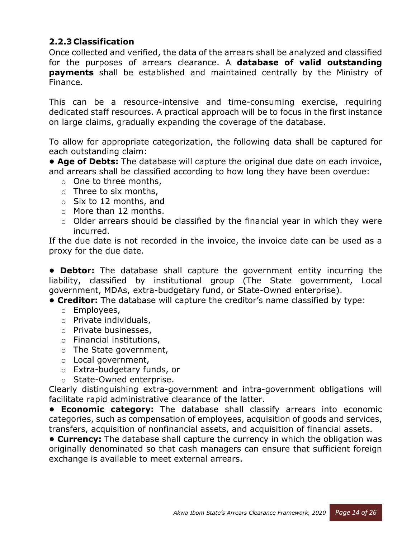# **2.2.3 Classification**

Once collected and verified, the data of the arrears shall be analyzed and classified for the purposes of arrears clearance. A **database of valid outstanding payments** shall be established and maintained centrally by the Ministry of Finance.

This can be a resource-intensive and time-consuming exercise, requiring dedicated staff resources. A practical approach will be to focus in the first instance on large claims, gradually expanding the coverage of the database.

To allow for appropriate categorization, the following data shall be captured for each outstanding claim:

**• Age of Debts:** The database will capture the original due date on each invoice, and arrears shall be classified according to how long they have been overdue:

- $\circ$  One to three months,
- $\circ$  Three to six months,
- $\circ$  Six to 12 months, and
- o More than 12 months.
- $\circ$  Older arrears should be classified by the financial year in which they were incurred.

If the due date is not recorded in the invoice, the invoice date can be used as a proxy for the due date.

**• Debtor:** The database shall capture the government entity incurring the liability, classified by institutional group (The State government, Local government, MDAs, extra-budgetary fund, or State-Owned enterprise).

- **Creditor:** The database will capture the creditor's name classified by type:
	- o Employees,
	- o Private individuals,
	- o Private businesses,
	- o Financial institutions,
	- o The State government,
	- o Local government,
	- o Extra-budgetary funds, or
	- o State-Owned enterprise.

Clearly distinguishing extra-government and intra-government obligations will facilitate rapid administrative clearance of the latter.

**• Economic category:** The database shall classify arrears into economic categories, such as compensation of employees, acquisition of goods and services, transfers, acquisition of nonfinancial assets, and acquisition of financial assets.

**• Currency:** The database shall capture the currency in which the obligation was originally denominated so that cash managers can ensure that sufficient foreign exchange is available to meet external arrears.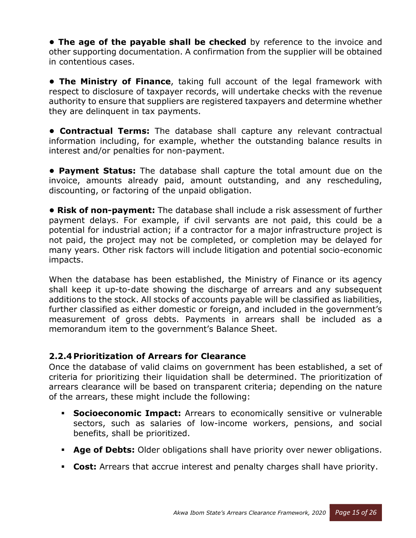**• The age of the payable shall be checked** by reference to the invoice and other supporting documentation. A confirmation from the supplier will be obtained in contentious cases.

**• The Ministry of Finance**, taking full account of the legal framework with respect to disclosure of taxpayer records, will undertake checks with the revenue authority to ensure that suppliers are registered taxpayers and determine whether they are delinquent in tax payments.

**• Contractual Terms:** The database shall capture any relevant contractual information including, for example, whether the outstanding balance results in interest and/or penalties for non-payment.

**• Payment Status:** The database shall capture the total amount due on the invoice, amounts already paid, amount outstanding, and any rescheduling, discounting, or factoring of the unpaid obligation.

**• Risk of non-payment:** The database shall include a risk assessment of further payment delays. For example, if civil servants are not paid, this could be a potential for industrial action; if a contractor for a major infrastructure project is not paid, the project may not be completed, or completion may be delayed for many years. Other risk factors will include litigation and potential socio-economic impacts.

When the database has been established, the Ministry of Finance or its agency shall keep it up-to-date showing the discharge of arrears and any subsequent additions to the stock. All stocks of accounts payable will be classified as liabilities, further classified as either domestic or foreign, and included in the government's measurement of gross debts. Payments in arrears shall be included as a memorandum item to the government's Balance Sheet.

# **2.2.4 Prioritization of Arrears for Clearance**

Once the database of valid claims on government has been established, a set of criteria for prioritizing their liquidation shall be determined. The prioritization of arrears clearance will be based on transparent criteria; depending on the nature of the arrears, these might include the following:

- - **Socioeconomic Impact:** Arrears to economically sensitive or vulnerable sectors, such as salaries of low-income workers, pensions, and social benefits, shall be prioritized.
- **Age of Debts:** Older obligations shall have priority over newer obligations.
- **Cost:** Arrears that accrue interest and penalty charges shall have priority.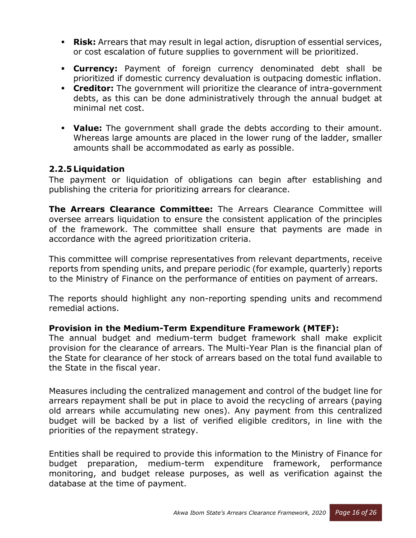- **Risk:** Arrears that may result in legal action, disruption of essential services, or cost escalation of future supplies to government will be prioritized.
- **Currency:** Payment of foreign currency denominated debt shall be prioritized if domestic currency devaluation is outpacing domestic inflation.
- **Creditor:** The government will prioritize the clearance of intra-government debts, as this can be done administratively through the annual budget at minimal net cost.
- **Value:** The government shall grade the debts according to their amount. Whereas large amounts are placed in the lower rung of the ladder, smaller amounts shall be accommodated as early as possible.

#### **2.2.5 Liquidation**

The payment or liquidation of obligations can begin after establishing and publishing the criteria for prioritizing arrears for clearance.

**The Arrears Clearance Committee:** The Arrears Clearance Committee will oversee arrears liquidation to ensure the consistent application of the principles of the framework. The committee shall ensure that payments are made in accordance with the agreed prioritization criteria.

This committee will comprise representatives from relevant departments, receive reports from spending units, and prepare periodic (for example, quarterly) reports to the Ministry of Finance on the performance of entities on payment of arrears.

The reports should highlight any non-reporting spending units and recommend remedial actions.

#### **Provision in the Medium-Term Expenditure Framework (MTEF):**

The annual budget and medium-term budget framework shall make explicit provision for the clearance of arrears. The Multi-Year Plan is the financial plan of the State for clearance of her stock of arrears based on the total fund available to the State in the fiscal year.

Measures including the centralized management and control of the budget line for arrears repayment shall be put in place to avoid the recycling of arrears (paying old arrears while accumulating new ones). Any payment from this centralized budget will be backed by a list of verified eligible creditors, in line with the priorities of the repayment strategy.

Entities shall be required to provide this information to the Ministry of Finance for budget preparation, medium-term expenditure framework, performance monitoring, and budget release purposes, as well as verification against the database at the time of payment.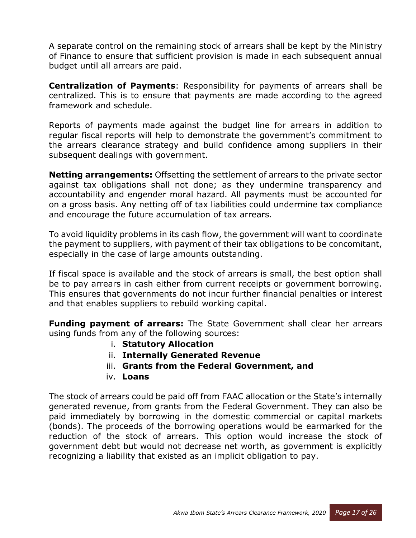A separate control on the remaining stock of arrears shall be kept by the Ministry of Finance to ensure that sufficient provision is made in each subsequent annual budget until all arrears are paid.

**Centralization of Payments**: Responsibility for payments of arrears shall be centralized. This is to ensure that payments are made according to the agreed framework and schedule.

Reports of payments made against the budget line for arrears in addition to regular fiscal reports will help to demonstrate the government's commitment to the arrears clearance strategy and build confidence among suppliers in their subsequent dealings with government.

**Netting arrangements:** Offsetting the settlement of arrears to the private sector against tax obligations shall not done; as they undermine transparency and accountability and engender moral hazard. All payments must be accounted for on a gross basis. Any netting off of tax liabilities could undermine tax compliance and encourage the future accumulation of tax arrears.

To avoid liquidity problems in its cash flow, the government will want to coordinate the payment to suppliers, with payment of their tax obligations to be concomitant, especially in the case of large amounts outstanding.

If fiscal space is available and the stock of arrears is small, the best option shall be to pay arrears in cash either from current receipts or government borrowing. This ensures that governments do not incur further financial penalties or interest and that enables suppliers to rebuild working capital.

**Funding payment of arrears:** The State Government shall clear her arrears using funds from any of the following sources:

- i. **Statutory Allocation**
- ii. **Internally Generated Revenue**
- iii. **Grants from the Federal Government, and**
- iv. **Loans**

The stock of arrears could be paid off from FAAC allocation or the State's internally generated revenue, from grants from the Federal Government. They can also be paid immediately by borrowing in the domestic commercial or capital markets (bonds). The proceeds of the borrowing operations would be earmarked for the reduction of the stock of arrears. This option would increase the stock of government debt but would not decrease net worth, as government is explicitly recognizing a liability that existed as an implicit obligation to pay.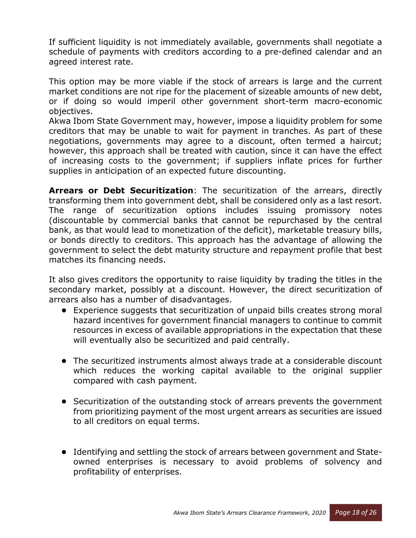If sufficient liquidity is not immediately available, governments shall negotiate a schedule of payments with creditors according to a pre-defined calendar and an agreed interest rate.

This option may be more viable if the stock of arrears is large and the current market conditions are not ripe for the placement of sizeable amounts of new debt, or if doing so would imperil other government short-term macro-economic objectives.

Akwa Ibom State Government may, however, impose a liquidity problem for some creditors that may be unable to wait for payment in tranches. As part of these negotiations, governments may agree to a discount, often termed a haircut; however, this approach shall be treated with caution, since it can have the effect of increasing costs to the government; if suppliers inflate prices for further supplies in anticipation of an expected future discounting.

**Arrears or Debt Securitization**: The securitization of the arrears, directly transforming them into government debt, shall be considered only as a last resort. The range of securitization options includes issuing promissory notes (discountable by commercial banks that cannot be repurchased by the central bank, as that would lead to monetization of the deficit), marketable treasury bills, or bonds directly to creditors. This approach has the advantage of allowing the government to select the debt maturity structure and repayment profile that best matches its financing needs.

It also gives creditors the opportunity to raise liquidity by trading the titles in the secondary market, possibly at a discount. However, the direct securitization of arrears also has a number of disadvantages.

- **•** Experience suggests that securitization of unpaid bills creates strong moral hazard incentives for government financial managers to continue to commit resources in excess of available appropriations in the expectation that these will eventually also be securitized and paid centrally.
- **•** The securitized instruments almost always trade at a considerable discount which reduces the working capital available to the original supplier compared with cash payment.
- **•** Securitization of the outstanding stock of arrears prevents the government from prioritizing payment of the most urgent arrears as securities are issued to all creditors on equal terms.
- **•** Identifying and settling the stock of arrears between government and Stateowned enterprises is necessary to avoid problems of solvency and profitability of enterprises.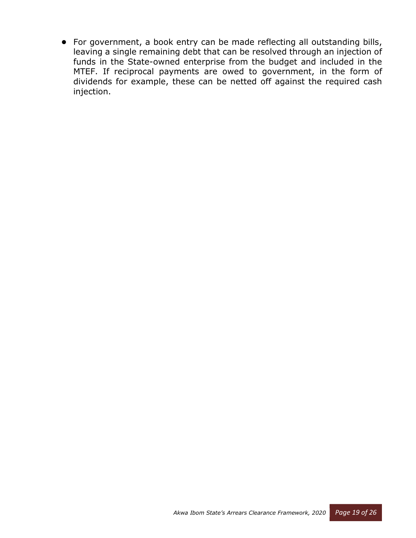**•** For government, a book entry can be made reflecting all outstanding bills, leaving a single remaining debt that can be resolved through an injection of funds in the State-owned enterprise from the budget and included in the MTEF. If reciprocal payments are owed to government, in the form of dividends for example, these can be netted off against the required cash injection.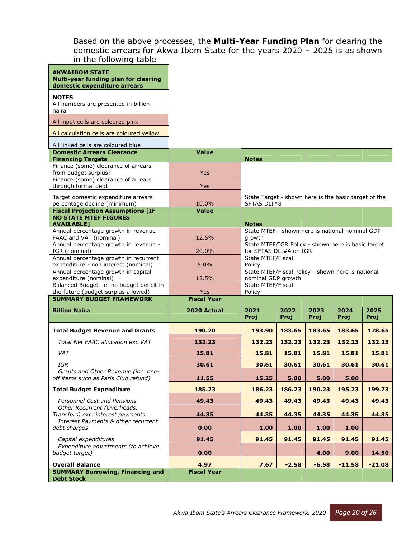Based on the above processes, the **Multi-Year Funding Plan** for clearing the domestic arrears for Akwa Ibom State for the years 2020 – 2025 is as shown in the following table

| <b>AKWAIBOM STATE</b><br>Multi-year funding plan for clearing                                 |                            |                                                                              |              |              |              |              |
|-----------------------------------------------------------------------------------------------|----------------------------|------------------------------------------------------------------------------|--------------|--------------|--------------|--------------|
| domestic expenditure arrears<br><b>NOTES</b><br>All numbers are presented in billion          |                            |                                                                              |              |              |              |              |
| naira<br>All input cells are coloured pink                                                    |                            |                                                                              |              |              |              |              |
| All calculation cells are coloured yellow                                                     |                            |                                                                              |              |              |              |              |
| All linked cells are coloured blue                                                            |                            |                                                                              |              |              |              |              |
| <b>Domestic Arrears Clearance</b><br><b>Financing Targets</b>                                 | <b>Value</b>               | <b>Notes</b>                                                                 |              |              |              |              |
| Finance (some) clearance of arrears<br>from budget surplus?                                   | Yes                        |                                                                              |              |              |              |              |
| Finance (some) clearance of arrears<br>through formal debt                                    | Yes                        |                                                                              |              |              |              |              |
| Target domestic expenditure arrears<br>percentage decline (minimum)                           | 10.0%                      | State Target - shown here is the basic target of the<br>SFTAS DLI#8          |              |              |              |              |
| <b>Fiscal Projection Assumptions [IF</b><br><b>NO STATE MTEF FIGURES</b><br><b>AVAILABLE1</b> | <b>Value</b>               | <b>Notes</b>                                                                 |              |              |              |              |
| Annual percentage growth in revenue -<br>FAAC and VAT (nominal)                               | 12.5%                      | State MTEF - shown here is national nominal GDP<br>growth                    |              |              |              |              |
| Annual percentage growth in revenue -<br>IGR (nominal)                                        | 20.0%                      | State MTEF/IGR Policy - shown here is basic target<br>for SFTAS DLI#4 on IGR |              |              |              |              |
| Annual percentage growth in recurrent                                                         |                            | <b>State MTEF/Fiscal</b>                                                     |              |              |              |              |
| expenditure - non interest (nominal)<br>Annual percentage growth in capital                   | 5.0%                       | Policy<br>State MTEF/Fiscal Policy - shown here is national                  |              |              |              |              |
| expenditure (nominal)<br>Balanced Budget i.e. no budget deficit in                            | 12.5%                      | nominal GDP growth<br>State MTEF/Fiscal                                      |              |              |              |              |
| the future (budget surplus allowed)                                                           | Yes                        | Policy                                                                       |              |              |              |              |
| <b>SUMMARY BUDGET FRAMEWORK</b>                                                               | <b>Fiscal Year</b>         |                                                                              |              |              |              |              |
|                                                                                               |                            |                                                                              |              |              |              |              |
| <b>Billion Naira</b>                                                                          | 2020 Actual                | 2021<br>Proj                                                                 | 2022<br>Proj | 2023<br>Proj | 2024<br>Proj | 2025<br>Proj |
| <b>Total Budget Revenue and Grants</b>                                                        | 190.20                     | 193.90                                                                       | 183.65       | 183.65       | 183.65       | 178.65       |
| Total Net FAAC allocation exc VAT                                                             | 132.23                     | 132.23                                                                       | 132.23       | 132.23       | 132.23       | 132.23       |
| <b>VAT</b>                                                                                    | 15.81                      | 15.81                                                                        | 15.81        | 15.81        | 15.81        | 15.81        |
| <b>IGR</b>                                                                                    | 30.61                      | 30.61                                                                        | 30.61        | 30.61        | 30.61        | 30.61        |
| Grants and Other Revenue (inc. one-<br>off items such as Paris Club refund)                   | 11.55                      | 15.25                                                                        | 5.00         | 5.00         | 5.00         |              |
| <b>Total Budget Expenditure</b>                                                               | 185.23                     | 186.23                                                                       | 186.23       | 190.23       | 195.23       | 199.73       |
| Personnel Cost and Pensions                                                                   | 49.43                      | 49.43                                                                        | 49.43        | 49.43        | 49.43        | 49.43        |
| Other Recurrent (Overheads,<br>Transfers) exc. interest payments                              | 44.35                      | 44.35                                                                        | 44.35        | 44.35        | 44.35        | 44.35        |
| Interest Payments & other recurrent<br>debt charges                                           | 0.00                       | 1.00                                                                         | 1.00         | 1.00         | 1.00         |              |
| Capital expenditures                                                                          | 91.45                      | 91.45                                                                        | 91.45        | 91.45        | 91.45        | 91.45        |
| Expenditure adjustments (to achieve<br>budget target)                                         | 0.00                       |                                                                              |              | 4.00         | 9.00         | 14.50        |
| <b>Overall Balance</b><br><b>SUMMARY Borrowing, Financing and</b>                             | 4.97<br><b>Fiscal Year</b> | 7.67                                                                         | $-2.58$      | $-6.58$      | $-11.58$     | $-21.08$     |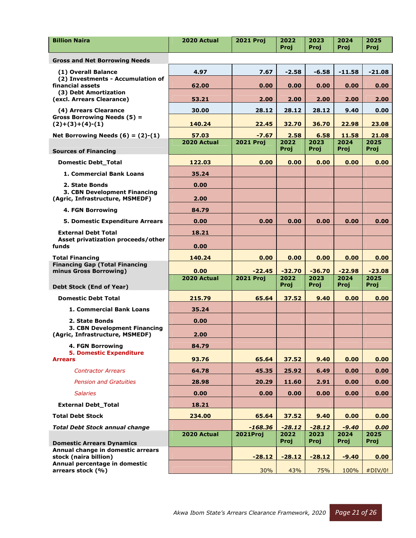| <b>Gross and Net Borrowing Needs</b><br>4.97<br>7.67<br>$-2.58$<br>$-6.58$<br>$-11.58$<br>$-21.08$<br>(1) Overall Balance<br>(2) Investments - Accumulation of<br>financial assets<br>62.00<br>0.00<br>0.00<br>0.00<br>0.00<br>0.00<br>(3) Debt Amortization<br>(excl. Arrears Clearance)<br>53.21<br>2.00<br>2.00<br>2.00<br>2.00<br>2.00<br>(4) Arrears Clearance<br>28.12<br>28.12<br>28.12<br>30.00<br>9.40<br>0.00<br>Gross Borrowing Needs (5) =<br>$(2)+(3)+(4)-(1)$<br>22.45<br>32.70<br>140.24<br>36.70<br>22.98<br>23.08<br>Net Borrowing Needs $(6) = (2)-(1)$<br>2.58<br>11.58<br>21.08<br>57.03<br>$-7.67$<br>6.58 |
|---------------------------------------------------------------------------------------------------------------------------------------------------------------------------------------------------------------------------------------------------------------------------------------------------------------------------------------------------------------------------------------------------------------------------------------------------------------------------------------------------------------------------------------------------------------------------------------------------------------------------------|
|                                                                                                                                                                                                                                                                                                                                                                                                                                                                                                                                                                                                                                 |
|                                                                                                                                                                                                                                                                                                                                                                                                                                                                                                                                                                                                                                 |
|                                                                                                                                                                                                                                                                                                                                                                                                                                                                                                                                                                                                                                 |
|                                                                                                                                                                                                                                                                                                                                                                                                                                                                                                                                                                                                                                 |
|                                                                                                                                                                                                                                                                                                                                                                                                                                                                                                                                                                                                                                 |
|                                                                                                                                                                                                                                                                                                                                                                                                                                                                                                                                                                                                                                 |
|                                                                                                                                                                                                                                                                                                                                                                                                                                                                                                                                                                                                                                 |
| 2022<br>2023<br>2024<br>2025<br>2020 Actual<br><b>2021 Proj</b><br>Proj<br>Proj<br>Proj<br>Proj<br><b>Sources of Financing</b>                                                                                                                                                                                                                                                                                                                                                                                                                                                                                                  |
| <b>Domestic Debt_Total</b><br>122.03<br>0.00<br>0.00<br>0.00<br>0.00<br>0.00                                                                                                                                                                                                                                                                                                                                                                                                                                                                                                                                                    |
| 1. Commercial Bank Loans<br>35.24                                                                                                                                                                                                                                                                                                                                                                                                                                                                                                                                                                                               |
| 2. State Bonds<br>0.00                                                                                                                                                                                                                                                                                                                                                                                                                                                                                                                                                                                                          |
| 3. CBN Development Financing<br>(Agric, Infrastructure, MSMEDF)<br>2.00                                                                                                                                                                                                                                                                                                                                                                                                                                                                                                                                                         |
| <b>4. FGN Borrowing</b><br>84.79                                                                                                                                                                                                                                                                                                                                                                                                                                                                                                                                                                                                |
| 0.00<br>5. Domestic Expenditure Arrears<br>0.00<br>0.00<br>0.00<br>0.00<br>0.00                                                                                                                                                                                                                                                                                                                                                                                                                                                                                                                                                 |
| <b>External Debt Total</b><br>18.21                                                                                                                                                                                                                                                                                                                                                                                                                                                                                                                                                                                             |
| Asset privatization proceeds/other<br>0.00<br>funds                                                                                                                                                                                                                                                                                                                                                                                                                                                                                                                                                                             |
| 0.00<br>0.00<br><b>Total Financing</b><br>140.24<br>0.00<br>0.00<br>0.00                                                                                                                                                                                                                                                                                                                                                                                                                                                                                                                                                        |
| <b>Financing Gap (Total Financing</b><br>minus Gross Borrowing)<br>$-32.70$<br>$-36.70$<br>$-22.98$<br>$-23.08$<br>0.00<br>$-22.45$                                                                                                                                                                                                                                                                                                                                                                                                                                                                                             |
| <b>2021 Proj</b><br>2020 Actual<br>2022<br>2023<br>2024<br>2025                                                                                                                                                                                                                                                                                                                                                                                                                                                                                                                                                                 |
| Proj<br>Proj<br>Proj<br>Proj<br>Debt Stock (End of Year)                                                                                                                                                                                                                                                                                                                                                                                                                                                                                                                                                                        |
| <b>Domestic Debt Total</b><br>215.79<br>65.64<br>37.52<br>9.40<br>0.00<br>0.00                                                                                                                                                                                                                                                                                                                                                                                                                                                                                                                                                  |
| 35.24<br>1. Commercial Bank Loans                                                                                                                                                                                                                                                                                                                                                                                                                                                                                                                                                                                               |
| 0.00<br>2. State Bonds<br>3. CBN Development Financing                                                                                                                                                                                                                                                                                                                                                                                                                                                                                                                                                                          |
| (Agric, Infrastructure, MSMEDF)<br>2.00                                                                                                                                                                                                                                                                                                                                                                                                                                                                                                                                                                                         |
| <b>4. FGN Borrowing</b><br>84.79<br><b>5. Domestic Expenditure</b>                                                                                                                                                                                                                                                                                                                                                                                                                                                                                                                                                              |
| 93.76<br>9.40<br>0.00<br><b>Arrears</b><br>65.64<br>37.52<br>0.00                                                                                                                                                                                                                                                                                                                                                                                                                                                                                                                                                               |
| <b>Contractor Arrears</b><br>64.78<br>45.35<br>25.92<br>6.49<br>0.00<br>0.00                                                                                                                                                                                                                                                                                                                                                                                                                                                                                                                                                    |
| <b>Pension and Gratuities</b><br>28.98<br>20.29<br>11.60<br>0.00<br>0.00<br>2.91                                                                                                                                                                                                                                                                                                                                                                                                                                                                                                                                                |
| <b>Salaries</b><br>0.00<br>0.00<br>0.00<br>0.00<br>0.00<br>0.00                                                                                                                                                                                                                                                                                                                                                                                                                                                                                                                                                                 |
| <b>External Debt Total</b><br>18.21                                                                                                                                                                                                                                                                                                                                                                                                                                                                                                                                                                                             |
| <b>Total Debt Stock</b><br>234.00<br>65.64<br>37.52<br>9.40<br>0.00<br>0.00                                                                                                                                                                                                                                                                                                                                                                                                                                                                                                                                                     |
| $-9.40$<br><b>Total Debt Stock annual change</b><br>$-168.36$<br>$-28.12$<br>$-28.12$<br>0.00                                                                                                                                                                                                                                                                                                                                                                                                                                                                                                                                   |
| 2020 Actual<br>2021Proj<br>2022<br>2023<br>2024<br>2025<br>Proj<br>Proj<br>Proj<br>Proj<br><b>Domestic Arrears Dynamics</b>                                                                                                                                                                                                                                                                                                                                                                                                                                                                                                     |
| Annual change in domestic arrears<br>stock (naira billion)<br>$-28.12$<br>$-28.12$<br>$-28.12$<br>$-9.40$<br>0.00                                                                                                                                                                                                                                                                                                                                                                                                                                                                                                               |
| Annual percentage in domestic<br>arrears stock (%)<br>30%<br>43%<br>75%<br>100%<br>#DIV/0!                                                                                                                                                                                                                                                                                                                                                                                                                                                                                                                                      |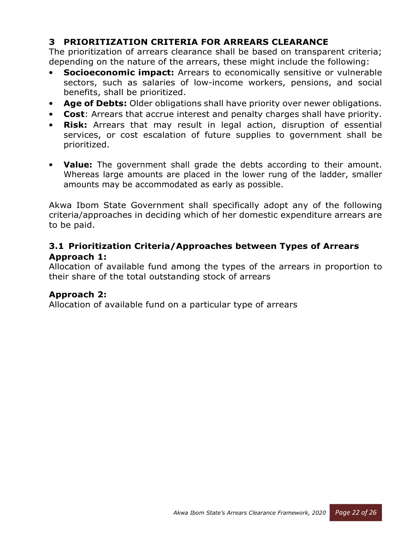# **3 PRIORITIZATION CRITERIA FOR ARREARS CLEARANCE**

The prioritization of arrears clearance shall be based on transparent criteria; depending on the nature of the arrears, these might include the following:

- **Socioeconomic impact:** Arrears to economically sensitive or vulnerable sectors, such as salaries of low-income workers, pensions, and social benefits, shall be prioritized.
- **Age of Debts:** Older obligations shall have priority over newer obligations.
- **Cost**: Arrears that accrue interest and penalty charges shall have priority.
- **Risk:** Arrears that may result in legal action, disruption of essential services, or cost escalation of future supplies to government shall be prioritized.
- **Value:** The government shall grade the debts according to their amount. Whereas large amounts are placed in the lower rung of the ladder, smaller amounts may be accommodated as early as possible.

Akwa Ibom State Government shall specifically adopt any of the following criteria/approaches in deciding which of her domestic expenditure arrears are to be paid.

#### **3.1 Prioritization Criteria/Approaches between Types of Arrears Approach 1:**

Allocation of available fund among the types of the arrears in proportion to their share of the total outstanding stock of arrears

#### **Approach 2:**

Allocation of available fund on a particular type of arrears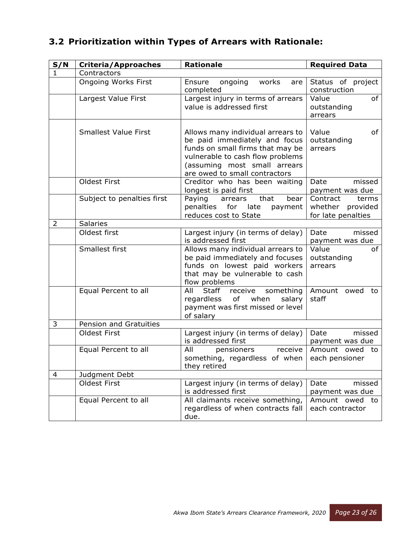# **3.2 Prioritization within Types of Arrears with Rationale:**

| S/N | <b>Criteria/Approaches</b>  | <b>Rationale</b>                                                                                                                                                                                            | <b>Required Data</b>                                           |
|-----|-----------------------------|-------------------------------------------------------------------------------------------------------------------------------------------------------------------------------------------------------------|----------------------------------------------------------------|
| 1   | Contractors                 |                                                                                                                                                                                                             |                                                                |
|     | <b>Ongoing Works First</b>  | ongoing<br>Ensure<br>works<br>are<br>completed                                                                                                                                                              | Status of project<br>construction                              |
|     | Largest Value First         | Largest injury in terms of arrears<br>value is addressed first                                                                                                                                              | Value<br>of<br>outstanding<br>arrears                          |
|     | <b>Smallest Value First</b> | Allows many individual arrears to<br>be paid immediately and focus<br>funds on small firms that may be<br>vulnerable to cash flow problems<br>(assuming most small arrears<br>are owed to small contractors | Value<br>of<br>outstanding<br>arrears                          |
|     | <b>Oldest First</b>         | Creditor who has been waiting<br>longest is paid first                                                                                                                                                      | Date<br>missed<br>payment was due                              |
|     | Subject to penalties first  | Paying<br>that<br>bear  <br>arrears<br>penalties<br>for<br>late<br>payment  <br>reduces cost to State                                                                                                       | Contract<br>terms<br>whether<br>provided<br>for late penalties |
| 2   | <b>Salaries</b>             |                                                                                                                                                                                                             |                                                                |
|     | Oldest first                | Largest injury (in terms of delay)<br>is addressed first                                                                                                                                                    | Date<br>missed<br>payment was due                              |
|     | Smallest first              | Allows many individual arrears to<br>be paid immediately and focuses<br>funds on lowest paid workers<br>that may be vulnerable to cash<br>flow problems                                                     | Value<br>of<br>outstanding<br>arrears                          |
|     | Equal Percent to all        | Staff<br>All<br>receive<br>something<br>regardless<br>of<br>when<br>salary<br>payment was first missed or level<br>of salary                                                                                | Amount owed<br>to<br>staff                                     |
| 3   | Pension and Gratuities      |                                                                                                                                                                                                             |                                                                |
|     | Oldest First                | Largest injury (in terms of delay)<br>is addressed first                                                                                                                                                    | Date<br>missed<br>payment was due                              |
|     | Equal Percent to all        | All<br>receive<br>pensioners<br>something, regardless of when<br>they retired                                                                                                                               | Amount owed to<br>each pensioner                               |
| 4   | Judgment Debt               |                                                                                                                                                                                                             |                                                                |
|     | <b>Oldest First</b>         | Largest injury (in terms of delay)<br>is addressed first                                                                                                                                                    | Date<br>missed<br>payment was due                              |
|     | Equal Percent to all        | All claimants receive something,<br>regardless of when contracts fall<br>due.                                                                                                                               | Amount owed to<br>each contractor                              |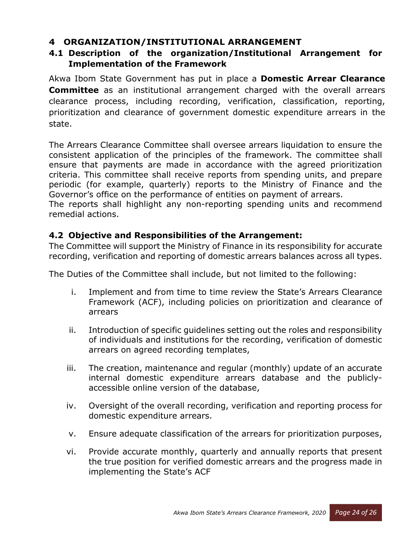# **4 ORGANIZATION/INSTITUTIONAL ARRANGEMENT**

# **4.1 Description of the organization/Institutional Arrangement for Implementation of the Framework**

Akwa Ibom State Government has put in place a **Domestic Arrear Clearance Committee** as an institutional arrangement charged with the overall arrears clearance process, including recording, verification, classification, reporting, prioritization and clearance of government domestic expenditure arrears in the state.

The Arrears Clearance Committee shall oversee arrears liquidation to ensure the consistent application of the principles of the framework. The committee shall ensure that payments are made in accordance with the agreed prioritization criteria. This committee shall receive reports from spending units, and prepare periodic (for example, quarterly) reports to the Ministry of Finance and the Governor's office on the performance of entities on payment of arrears.

The reports shall highlight any non-reporting spending units and recommend remedial actions.

#### **4.2 Objective and Responsibilities of the Arrangement:**

The Committee will support the Ministry of Finance in its responsibility for accurate recording, verification and reporting of domestic arrears balances across all types.

The Duties of the Committee shall include, but not limited to the following:

- i. Implement and from time to time review the State's Arrears Clearance Framework (ACF), including policies on prioritization and clearance of arrears
- ii. Introduction of specific guidelines setting out the roles and responsibility of individuals and institutions for the recording, verification of domestic arrears on agreed recording templates,
- iii. The creation, maintenance and regular (monthly) update of an accurate internal domestic expenditure arrears database and the publiclyaccessible online version of the database,
- iv. Oversight of the overall recording, verification and reporting process for domestic expenditure arrears.
- v. Ensure adequate classification of the arrears for prioritization purposes,
- vi. Provide accurate monthly, quarterly and annually reports that present the true position for verified domestic arrears and the progress made in implementing the State's ACF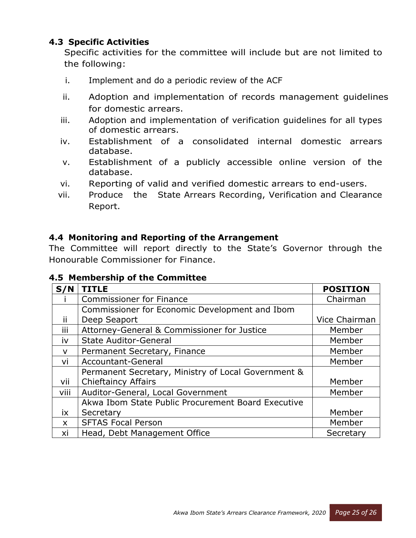# **4.3 Specific Activities**

Specific activities for the committee will include but are not limited to the following:

- i. Implement and do a periodic review of the ACF
- ii. Adoption and implementation of records management guidelines for domestic arrears.
- iii. Adoption and implementation of verification guidelines for all types of domestic arrears.
- iv. Establishment of a consolidated internal domestic arrears database.
- v. Establishment of a publicly accessible online version of the database.
- vi. Reporting of valid and verified domestic arrears to end-users.
- vii. Produce the State Arrears Recording, Verification and Clearance Report.

#### **4.4 Monitoring and Reporting of the Arrangement**

The Committee will report directly to the State's Governor through the Honourable Commissioner for Finance.

#### **4.5 Membership of the Committee**

| S/N          | <b>TITLE</b>                                        | <b>POSITION</b> |
|--------------|-----------------------------------------------------|-----------------|
|              | <b>Commissioner for Finance</b>                     | Chairman        |
|              | Commissioner for Economic Development and Ibom      |                 |
| ii.          | Deep Seaport                                        | Vice Chairman   |
| iii          | Attorney-General & Commissioner for Justice         | Member          |
| iv           | <b>State Auditor-General</b>                        | Member          |
| $\mathsf{V}$ | Permanent Secretary, Finance                        | Member          |
| vi           | Accountant-General                                  | Member          |
|              | Permanent Secretary, Ministry of Local Government & |                 |
| vii          | <b>Chieftaincy Affairs</b>                          | Member          |
| viii         | Auditor-General, Local Government                   | Member          |
|              | Akwa Ibom State Public Procurement Board Executive  |                 |
| ix           | Secretary                                           | Member          |
| $\mathsf{x}$ | <b>SFTAS Focal Person</b>                           | Member          |
| xi           | Head, Debt Management Office                        | Secretary       |